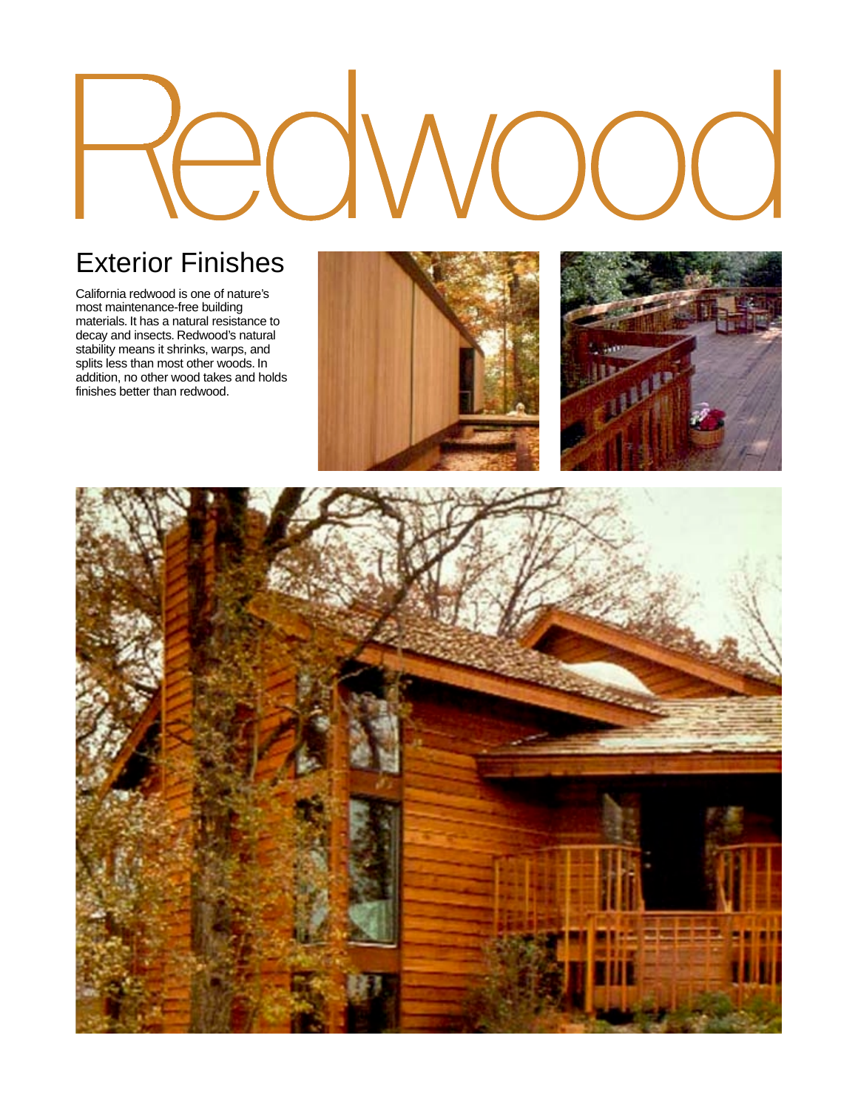# Exterior Finishes

California redwood is one of nature's most maintenance-free building materials. It has a natural resistance to decay and insects. Redwood's natural stability means it shrinks, warps, and splits less than most other woods. In addition, no other wood takes and holds finishes better than redwood.





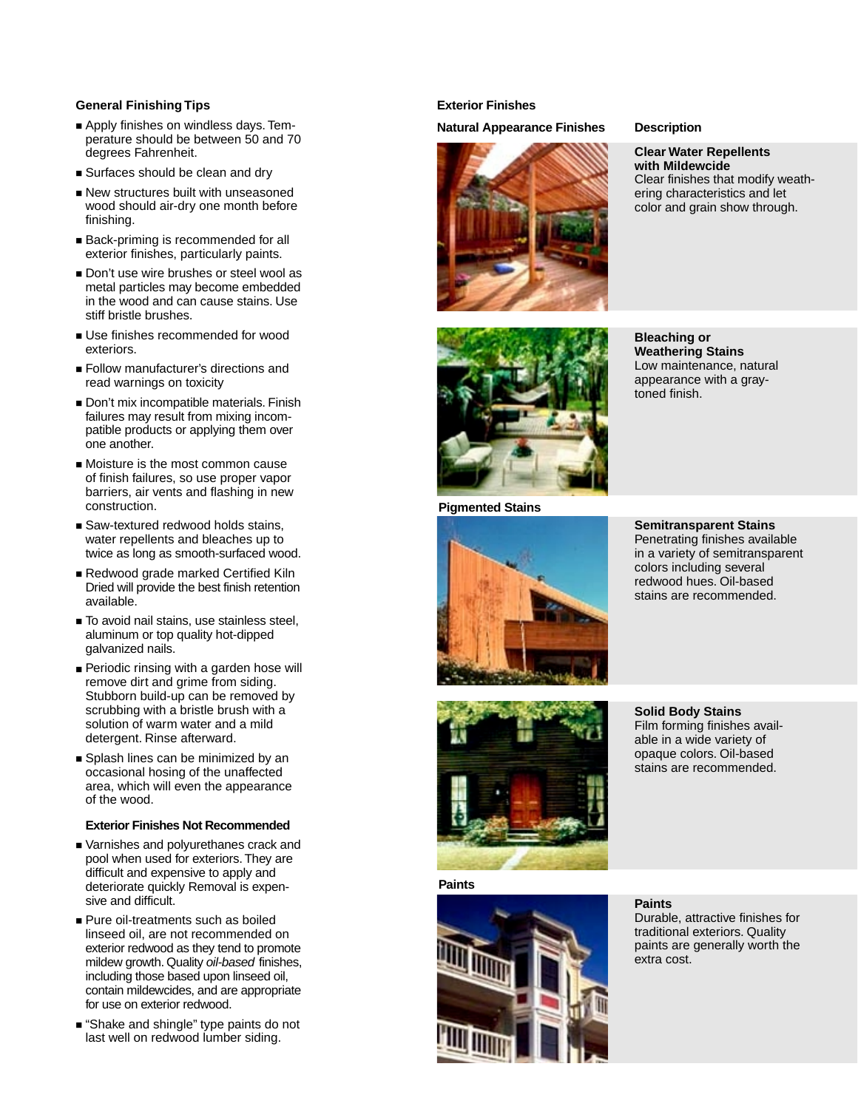# **General Finishing Tips**

- Apply finishes on windless days. Temperature should be between 50 and 70 degrees Fahrenheit.
- Surfaces should be clean and dry
- New structures built with unseasoned wood should air-dry one month before finishing.
- Back-priming is recommended for all exterior finishes, particularly paints.
- Don't use wire brushes or steel wool as metal particles may become embedded in the wood and can cause stains. Use stiff bristle brushes.
- Use finishes recommended for wood exteriors.
- Follow manufacturer's directions and read warnings on toxicity
- Don't mix incompatible materials. Finish failures may result from mixing incompatible products or applying them over one another.
- Moisture is the most common cause of finish failures, so use proper vapor barriers, air vents and flashing in new construction.
- Saw-textured redwood holds stains, water repellents and bleaches up to twice as long as smooth-surfaced wood.
- Redwood grade marked Certified Kiln Dried will provide the best finish retention available.
- To avoid nail stains, use stainless steel, aluminum or top quality hot-dipped galvanized nails.
- Periodic rinsing with a garden hose will remove dirt and grime from siding. Stubborn build-up can be removed by scrubbing with a bristle brush with a solution of warm water and a mild detergent. Rinse afterward.
- Splash lines can be minimized by an occasional hosing of the unaffected area, which will even the appearance of the wood.

## **Exterior Finishes Not Recommended**

- Varnishes and polyurethanes crack and pool when used for exteriors. They are difficult and expensive to apply and deteriorate quickly Removal is expensive and difficult.
- Pure oil-treatments such as boiled linseed oil, are not recommended on exterior redwood as they tend to promote mildew growth. Quality oil-based finishes, including those based upon linseed oil, contain mildewcides, and are appropriate for use on exterior redwood.
- "Shake and shingle" type paints do not last well on redwood lumber siding.

# **Exterior Finishes**

**Natural Appearance Finishes Description**



**Clear Water Repellents with Mildewcide**  Clear finishes that modify weathering characteristics and let color and grain show through.



**Bleaching or Weathering Stains**  Low maintenance, natural appearance with a graytoned finish.





**Semitransparent Stains** Penetrating finishes available in a variety of semitransparent colors including several redwood hues. Oil-based stains are recommended.



**Paints**



**Solid Body Stains** Film forming finishes available in a wide variety of opaque colors. Oil-based stains are recommended.

# **Paints**

Durable, attractive finishes for traditional exteriors. Quality paints are generally worth the extra cost.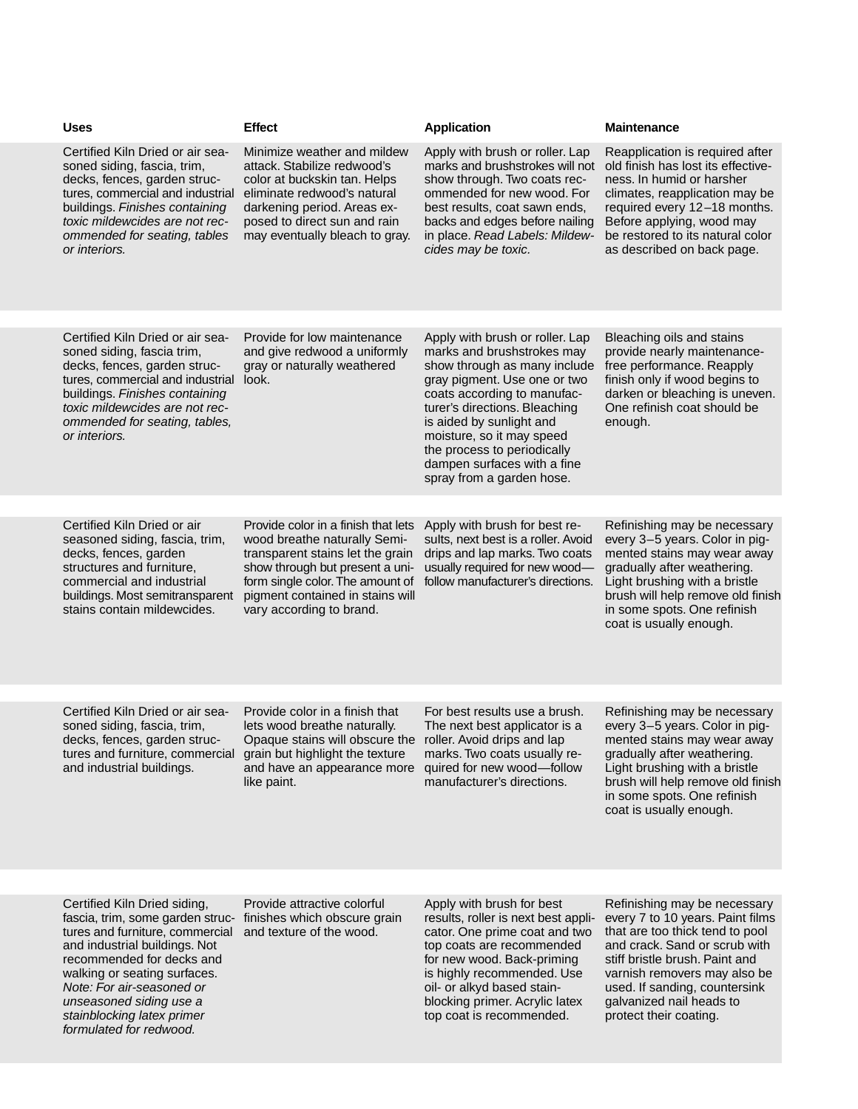| <b>Uses</b>                                                                                                                                                                                                                                                                                                          | <b>Effect</b>                                                                                                                                                                                                                                  | <b>Application</b>                                                                                                                                                                                                                                                                                             | <b>Maintenance</b>                                                                                                                                                                                                                                                                            |
|----------------------------------------------------------------------------------------------------------------------------------------------------------------------------------------------------------------------------------------------------------------------------------------------------------------------|------------------------------------------------------------------------------------------------------------------------------------------------------------------------------------------------------------------------------------------------|----------------------------------------------------------------------------------------------------------------------------------------------------------------------------------------------------------------------------------------------------------------------------------------------------------------|-----------------------------------------------------------------------------------------------------------------------------------------------------------------------------------------------------------------------------------------------------------------------------------------------|
| Certified Kiln Dried or air sea-<br>soned siding, fascia, trim,<br>decks, fences, garden struc-<br>tures, commercial and industrial<br>buildings. Finishes containing<br>toxic mildewcides are not rec-<br>ommended for seating, tables<br>or interiors.                                                             | Minimize weather and mildew<br>attack. Stabilize redwood's<br>color at buckskin tan. Helps<br>eliminate redwood's natural<br>darkening period. Areas ex-<br>posed to direct sun and rain<br>may eventually bleach to gray.                     | Apply with brush or roller. Lap<br>marks and brushstrokes will not<br>show through. Two coats rec-<br>ommended for new wood. For<br>best results, coat sawn ends,<br>backs and edges before nailing<br>in place. Read Labels: Mildew-<br>cides may be toxic.                                                   | Reapplication is required after<br>old finish has lost its effective-<br>ness. In humid or harsher<br>climates, reapplication may be<br>required every 12-18 months.<br>Before applying, wood may<br>be restored to its natural color<br>as described on back page.                           |
| Certified Kiln Dried or air sea-                                                                                                                                                                                                                                                                                     | Provide for low maintenance                                                                                                                                                                                                                    | Apply with brush or roller. Lap                                                                                                                                                                                                                                                                                | Bleaching oils and stains                                                                                                                                                                                                                                                                     |
| soned siding, fascia trim,<br>decks, fences, garden struc-<br>tures, commercial and industrial<br>buildings. Finishes containing<br>toxic mildewcides are not rec-<br>ommended for seating, tables,<br>or interiors.                                                                                                 | and give redwood a uniformly<br>gray or naturally weathered<br>look.                                                                                                                                                                           | marks and brushstrokes may<br>show through as many include<br>gray pigment. Use one or two<br>coats according to manufac-<br>turer's directions. Bleaching<br>is aided by sunlight and<br>moisture, so it may speed<br>the process to periodically<br>dampen surfaces with a fine<br>spray from a garden hose. | provide nearly maintenance-<br>free performance. Reapply<br>finish only if wood begins to<br>darken or bleaching is uneven.<br>One refinish coat should be<br>enough.                                                                                                                         |
|                                                                                                                                                                                                                                                                                                                      |                                                                                                                                                                                                                                                |                                                                                                                                                                                                                                                                                                                |                                                                                                                                                                                                                                                                                               |
| Certified Kiln Dried or air<br>seasoned siding, fascia, trim,<br>decks, fences, garden<br>structures and furniture,<br>commercial and industrial<br>buildings. Most semitransparent<br>stains contain mildewcides.                                                                                                   | Provide color in a finish that lets<br>wood breathe naturally Semi-<br>transparent stains let the grain<br>show through but present a uni-<br>form single color. The amount of<br>pigment contained in stains will<br>vary according to brand. | Apply with brush for best re-<br>sults, next best is a roller. Avoid<br>drips and lap marks. Two coats<br>usually required for new wood-<br>follow manufacturer's directions.                                                                                                                                  | Refinishing may be necessary<br>every 3-5 years. Color in pig-<br>mented stains may wear away<br>gradually after weathering.<br>Light brushing with a bristle<br>brush will help remove old finish<br>in some spots. One refinish<br>coat is usually enough.                                  |
| Certified Kiln Dried or air sea-<br>soned siding, fascia, trim,<br>decks, fences, garden struc-<br>tures and furniture, commercial<br>and industrial buildings.                                                                                                                                                      | Provide color in a finish that<br>lets wood breathe naturally.<br>Opaque stains will obscure the roller. Avoid drips and lap<br>grain but highlight the texture<br>and have an appearance more<br>like paint.                                  | For best results use a brush.<br>The next best applicator is a<br>marks. Two coats usually re-<br>quired for new wood-follow<br>manufacturer's directions.                                                                                                                                                     | Refinishing may be necessary<br>every 3-5 years. Color in pig-<br>mented stains may wear away<br>gradually after weathering.<br>Light brushing with a bristle<br>brush will help remove old finish<br>in some spots. One refinish<br>coat is usually enough.                                  |
|                                                                                                                                                                                                                                                                                                                      |                                                                                                                                                                                                                                                |                                                                                                                                                                                                                                                                                                                |                                                                                                                                                                                                                                                                                               |
| Certified Kiln Dried siding,<br>fascia, trim, some garden struc- finishes which obscure grain<br>tures and furniture, commercial<br>and industrial buildings. Not<br>recommended for decks and<br>walking or seating surfaces.<br>Note: For air-seasoned or<br>unseasoned siding use a<br>stainblocking latex primer | Provide attractive colorful<br>and texture of the wood.                                                                                                                                                                                        | Apply with brush for best<br>results, roller is next best appli-<br>cator. One prime coat and two<br>top coats are recommended<br>for new wood. Back-priming<br>is highly recommended. Use<br>oil- or alkyd based stain-<br>blocking primer. Acrylic latex<br>top coat is recommended.                         | Refinishing may be necessary<br>every 7 to 10 years. Paint films<br>that are too thick tend to pool<br>and crack. Sand or scrub with<br>stiff bristle brush. Paint and<br>varnish removers may also be<br>used. If sanding, countersink<br>galvanized nail heads to<br>protect their coating. |

formulated for redwood.